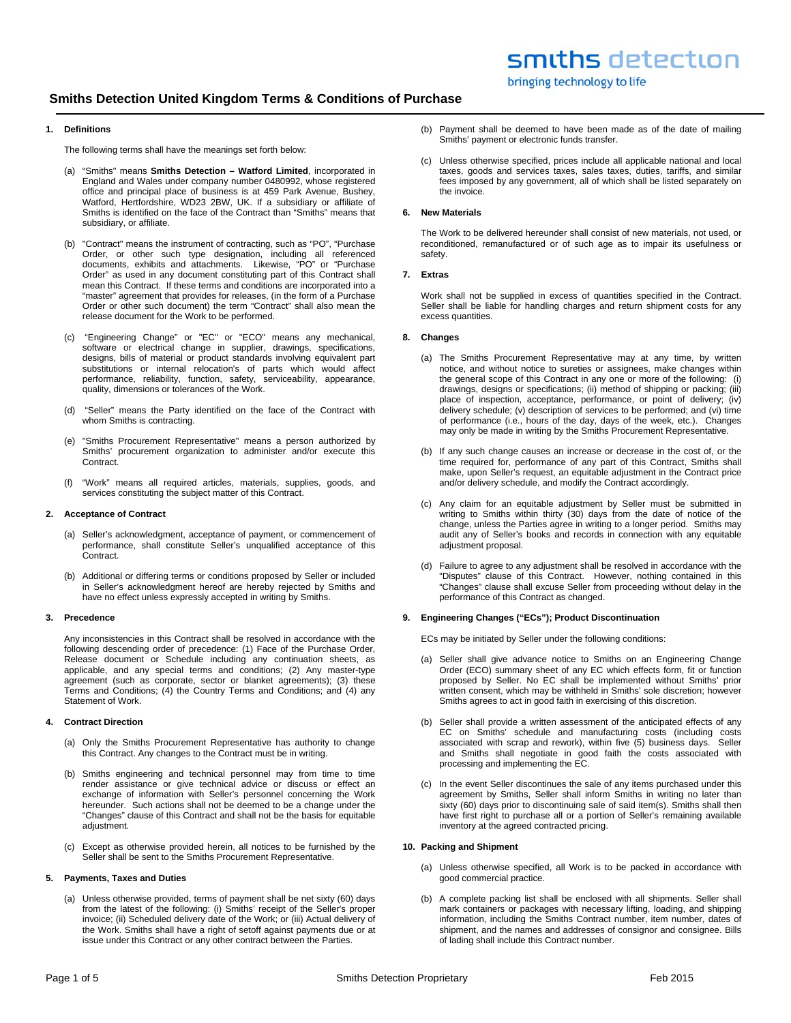# **1. Definitions**

The following terms shall have the meanings set forth below:

- (a) "Smiths" means **Smiths Detection Watford Limited**, incorporated in England and Wales under company number 0480992, whose registered office and principal place of business is at 459 Park Avenue, Bushey, Watford, Hertfordshire, WD23 2BW, UK. If a subsidiary or affiliate of Smiths is identified on the face of the Contract than "Smiths" means that subsidiary, or affiliate.
- (b) "Contract" means the instrument of contracting, such as "PO", "Purchase Order, or other such type designation, including all referenced documents, exhibits and attachments. Likewise, "PO" or "Purchase Order" as used in any document constituting part of this Contract shall mean this Contract. If these terms and conditions are incorporated into a "master" agreement that provides for releases, (in the form of a Purchase Order or other such document) the term "Contract" shall also mean the release document for the Work to be performed.
- (c) "Engineering Change" or "EC" or "ECO" means any mechanical, software or electrical change in supplier, drawings, specifications, designs, bills of material or product standards involving equivalent part substitutions or internal relocation's of parts which would affect performance, reliability, function, safety, serviceability, appearance, quality, dimensions or tolerances of the Work.
- (d) "Seller" means the Party identified on the face of the Contract with whom Smiths is contracting.
- (e) "Smiths Procurement Representative" means a person authorized by Smiths' procurement organization to administer and/or execute this **Contract.**
- (f) "Work" means all required articles, materials, supplies, goods, and services constituting the subject matter of this Contract.

#### **2. Acceptance of Contract**

- (a) Seller's acknowledgment, acceptance of payment, or commencement of performance, shall constitute Seller's unqualified acceptance of this Contract.
- (b) Additional or differing terms or conditions proposed by Seller or included in Seller's acknowledgment hereof are hereby rejected by Smiths and have no effect unless expressly accepted in writing by Smiths.

#### **3. Precedence**

Any inconsistencies in this Contract shall be resolved in accordance with the following descending order of precedence: (1) Face of the Purchase Order, Release document or Schedule including any continuation sheets, as applicable, and any special terms and conditions; (2) Any master-type agreement (such as corporate, sector or blanket agreements); (3) these Terms and Conditions; (4) the Country Terms and Conditions; and (4) any Statement of Work.

# **4. Contract Direction**

- (a) Only the Smiths Procurement Representative has authority to change this Contract. Any changes to the Contract must be in writing.
- (b) Smiths engineering and technical personnel may from time to time render assistance or give technical advice or discuss or effect an exchange of information with Seller's personnel concerning the Work hereunder. Such actions shall not be deemed to be a change under the "Changes" clause of this Contract and shall not be the basis for equitable adiustment.
- (c) Except as otherwise provided herein, all notices to be furnished by the Seller shall be sent to the Smiths Procurement Representative.

### **5. Payments, Taxes and Duties**

(a) Unless otherwise provided, terms of payment shall be net sixty (60) days from the latest of the following: (i) Smiths' receipt of the Seller's proper invoice; (ii) Scheduled delivery date of the Work; or (iii) Actual delivery of the Work. Smiths shall have a right of setoff against payments due or at issue under this Contract or any other contract between the Parties.

- (b) Payment shall be deemed to have been made as of the date of mailing Smiths' payment or electronic funds transfer.
- (c) Unless otherwise specified, prices include all applicable national and local taxes, goods and services taxes, sales taxes, duties, tariffs, and similar fees imposed by any government, all of which shall be listed separately on the invoice.

# **6. New Materials**

The Work to be delivered hereunder shall consist of new materials, not used, or reconditioned, remanufactured or of such age as to impair its usefulness or safety.

## **7. Extras**

Work shall not be supplied in excess of quantities specified in the Contract. Seller shall be liable for handling charges and return shipment costs for any excess quantities.

#### **8. Changes**

- (a) The Smiths Procurement Representative may at any time, by written notice, and without notice to sureties or assignees, make changes within the general scope of this Contract in any one or more of the following: (i) drawings, designs or specifications; (ii) method of shipping or packing; (iii) place of inspection, acceptance, performance, or point of delivery; (iv) delivery schedule; (v) description of services to be performed; and (vi) time of performance (i.e., hours of the day, days of the week, etc.). Changes may only be made in writing by the Smiths Procurement Representative.
- (b) If any such change causes an increase or decrease in the cost of, or the time required for, performance of any part of this Contract, Smiths shall make, upon Seller's request, an equitable adjustment in the Contract price and/or delivery schedule, and modify the Contract accordingly.
- (c) Any claim for an equitable adjustment by Seller must be submitted in writing to Smiths within thirty (30) days from the date of notice of the change, unless the Parties agree in writing to a longer period. Smiths may audit any of Seller's books and records in connection with any equitable adjustment proposal.
- (d) Failure to agree to any adjustment shall be resolved in accordance with the "Disputes" clause of this Contract. However, nothing contained in this "Changes" clause shall excuse Seller from proceeding without delay in the performance of this Contract as changed.

## **9. Engineering Changes ("ECs"); Product Discontinuation**

ECs may be initiated by Seller under the following conditions:

- (a) Seller shall give advance notice to Smiths on an Engineering Change Order (ECO) summary sheet of any EC which effects form, fit or function proposed by Seller. No EC shall be implemented without Smiths' prior written consent, which may be withheld in Smiths' sole discretion; however Smiths agrees to act in good faith in exercising of this discretion.
- (b) Seller shall provide a written assessment of the anticipated effects of any EC on Smiths' schedule and manufacturing costs (including costs associated with scrap and rework), within five (5) business days. Seller and Smiths shall negotiate in good faith the costs associated with processing and implementing the EC.
- (c) In the event Seller discontinues the sale of any items purchased under this agreement by Smiths, Seller shall inform Smiths in writing no later than sixty (60) days prior to discontinuing sale of said item(s). Smiths shall then have first right to purchase all or a portion of Seller's remaining available inventory at the agreed contracted pricing.

# **10. Packing and Shipment**

- (a) Unless otherwise specified, all Work is to be packed in accordance with good commercial practice.
- (b) A complete packing list shall be enclosed with all shipments. Seller shall mark containers or packages with necessary lifting, loading, and shipping information, including the Smiths Contract number, item number, dates of shipment, and the names and addresses of consignor and consignee. Bills of lading shall include this Contract number.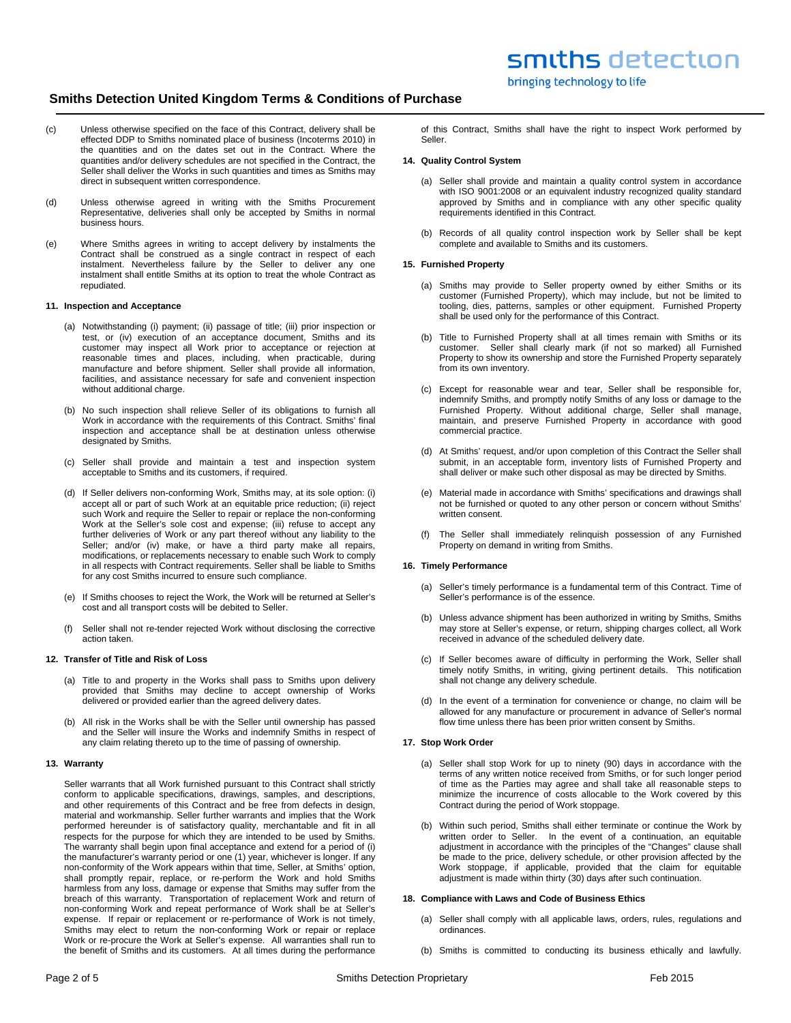- (c) Unless otherwise specified on the face of this Contract, delivery shall be effected DDP to Smiths nominated place of business (Incoterms 2010) in the quantities and on the dates set out in the Contract. Where the quantities and/or delivery schedules are not specified in the Contract, the Seller shall deliver the Works in such quantities and times as Smiths may direct in subsequent written correspondence.
- (d) Unless otherwise agreed in writing with the Smiths Procurement Representative, deliveries shall only be accepted by Smiths in normal business hours.
- (e) Where Smiths agrees in writing to accept delivery by instalments the Contract shall be construed as a single contract in respect of each instalment. Nevertheless failure by the Seller to deliver any one instalment shall entitle Smiths at its option to treat the whole Contract as repudiated.

#### **11. Inspection and Acceptance**

- (a) Notwithstanding (i) payment; (ii) passage of title; (iii) prior inspection or test, or (iv) execution of an acceptance document, Smiths and its customer may inspect all Work prior to acceptance or rejection at reasonable times and places, including, when practicable, during manufacture and before shipment. Seller shall provide all information, facilities, and assistance necessary for safe and convenient inspection without additional charge.
- (b) No such inspection shall relieve Seller of its obligations to furnish all Work in accordance with the requirements of this Contract. Smiths' final inspection and acceptance shall be at destination unless otherwise designated by Smiths.
- (c) Seller shall provide and maintain a test and inspection system acceptable to Smiths and its customers, if required.
- (d) If Seller delivers non-conforming Work, Smiths may, at its sole option: (i) accept all or part of such Work at an equitable price reduction; (ii) reject such Work and require the Seller to repair or replace the non-conforming Work at the Seller's sole cost and expense; (iii) refuse to accept any further deliveries of Work or any part thereof without any liability to the Seller; and/or (iv) make, or have a third party make all repairs, modifications, or replacements necessary to enable such Work to comply in all respects with Contract requirements. Seller shall be liable to Smiths for any cost Smiths incurred to ensure such compliance.
- (e) If Smiths chooses to reject the Work, the Work will be returned at Seller's cost and all transport costs will be debited to Seller.
- (f) Seller shall not re-tender rejected Work without disclosing the corrective action taken.

# **12. Transfer of Title and Risk of Loss**

- (a) Title to and property in the Works shall pass to Smiths upon delivery provided that Smiths may decline to accept ownership of Works delivered or provided earlier than the agreed delivery dates.
- (b) All risk in the Works shall be with the Seller until ownership has passed and the Seller will insure the Works and indemnify Smiths in respect of any claim relating thereto up to the time of passing of ownership.

#### **13. Warranty**

Seller warrants that all Work furnished pursuant to this Contract shall strictly conform to applicable specifications, drawings, samples, and descriptions, and other requirements of this Contract and be free from defects in design, material and workmanship. Seller further warrants and implies that the Work performed hereunder is of satisfactory quality, merchantable and fit in all respects for the purpose for which they are intended to be used by Smiths. The warranty shall begin upon final acceptance and extend for a period of (i) the manufacturer's warranty period or one (1) year, whichever is longer. If any non-conformity of the Work appears within that time, Seller, at Smiths' option, shall promptly repair, replace, or re-perform the Work and hold Smiths harmless from any loss, damage or expense that Smiths may suffer from the breach of this warranty. Transportation of replacement Work and return of non-conforming Work and repeat performance of Work shall be at Seller's expense. If repair or replacement or re-performance of Work is not timely, Smiths may elect to return the non-conforming Work or repair or replace Work or re-procure the Work at Seller's expense. All warranties shall run to the benefit of Smiths and its customers. At all times during the performance

of this Contract, Smiths shall have the right to inspect Work performed by Seller.

bringing technology to life

#### **14. Quality Control System**

- (a) Seller shall provide and maintain a quality control system in accordance with ISO 9001:2008 or an equivalent industry recognized quality standard approved by Smiths and in compliance with any other specific quality requirements identified in this Contract.
- (b) Records of all quality control inspection work by Seller shall be kept complete and available to Smiths and its customers.

### **15. Furnished Property**

- (a) Smiths may provide to Seller property owned by either Smiths or its customer (Furnished Property), which may include, but not be limited to tooling, dies, patterns, samples or other equipment. Furnished Property shall be used only for the performance of this Contract.
- (b) Title to Furnished Property shall at all times remain with Smiths or its customer. Seller shall clearly mark (if not so marked) all Furnished Property to show its ownership and store the Furnished Property separately from its own inventory.
- (c) Except for reasonable wear and tear, Seller shall be responsible for, indemnify Smiths, and promptly notify Smiths of any loss or damage to the Furnished Property. Without additional charge, Seller shall manage, maintain, and preserve Furnished Property in accordance with good commercial practice.
- (d) At Smiths' request, and/or upon completion of this Contract the Seller shall submit, in an acceptable form, inventory lists of Furnished Property and shall deliver or make such other disposal as may be directed by Smiths.
- (e) Material made in accordance with Smiths' specifications and drawings shall not be furnished or quoted to any other person or concern without Smiths' written consent.
- (f) The Seller shall immediately relinquish possession of any Furnished Property on demand in writing from Smiths.

## **16. Timely Performance**

- (a) Seller's timely performance is a fundamental term of this Contract. Time of Seller's performance is of the essence.
- (b) Unless advance shipment has been authorized in writing by Smiths, Smiths may store at Seller's expense, or return, shipping charges collect, all Work received in advance of the scheduled delivery date.
- (c) If Seller becomes aware of difficulty in performing the Work, Seller shall timely notify Smiths, in writing, giving pertinent details. This notification shall not change any delivery schedule.
- (d) In the event of a termination for convenience or change, no claim will be allowed for any manufacture or procurement in advance of Seller's normal flow time unless there has been prior written consent by Smiths.

#### **17. Stop Work Order**

- (a) Seller shall stop Work for up to ninety (90) days in accordance with the terms of any written notice received from Smiths, or for such longer period of time as the Parties may agree and shall take all reasonable steps to minimize the incurrence of costs allocable to the Work covered by this Contract during the period of Work stoppage.
- (b) Within such period, Smiths shall either terminate or continue the Work by written order to Seller. In the event of a continuation, an equitable adjustment in accordance with the principles of the "Changes" clause shall be made to the price, delivery schedule, or other provision affected by the Work stoppage, if applicable, provided that the claim for equitable adjustment is made within thirty (30) days after such continuation.

#### **18. Compliance with Laws and Code of Business Ethics**

- (a) Seller shall comply with all applicable laws, orders, rules, regulations and ordinances.
- (b) Smiths is committed to conducting its business ethically and lawfully.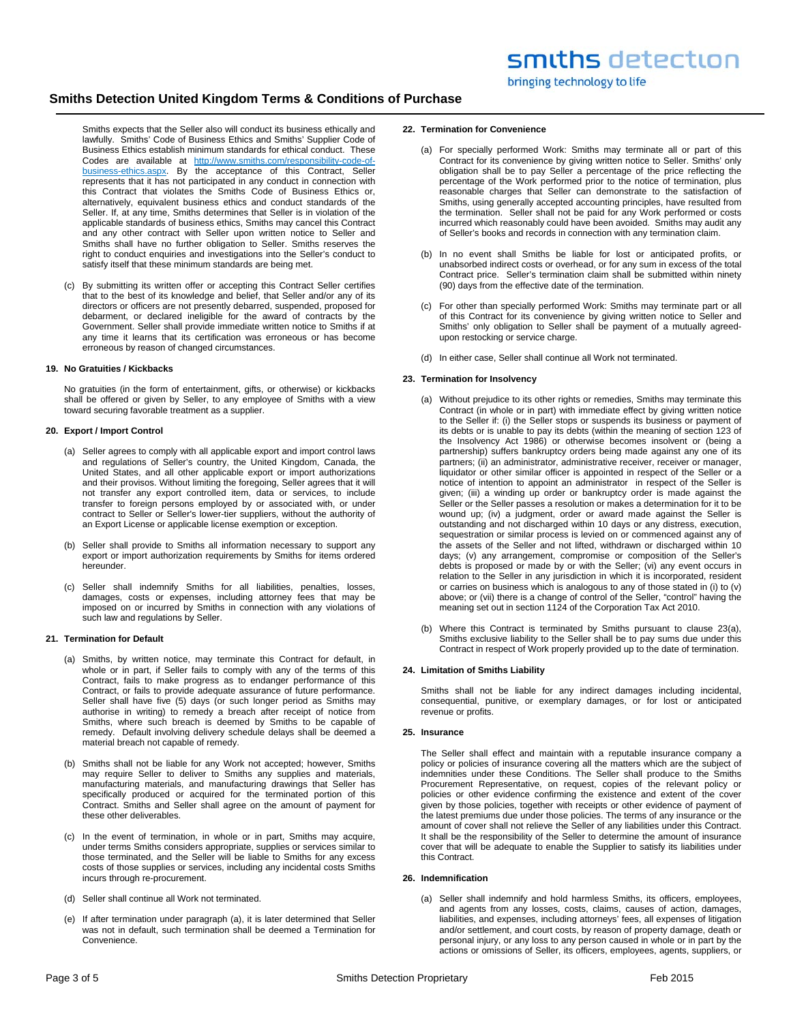Smiths expects that the Seller also will conduct its business ethically and lawfully. Smiths' Code of Business Ethics and Smiths' Supplier Code of Business Ethics establish minimum standards for ethical conduct. These Codes are available at http://www.smiths.com/responsibility-code-ofbusiness-ethics.aspx. By the acceptance of this Contract, Seller represents that it has not participated in any conduct in connection with this Contract that violates the Smiths Code of Business Ethics or, alternatively, equivalent business ethics and conduct standards of the Seller. If, at any time, Smiths determines that Seller is in violation of the applicable standards of business ethics, Smiths may cancel this Contract and any other contract with Seller upon written notice to Seller and Smiths shall have no further obligation to Seller. Smiths reserves the right to conduct enquiries and investigations into the Seller's conduct to satisfy itself that these minimum standards are being met.

(c) By submitting its written offer or accepting this Contract Seller certifies that to the best of its knowledge and belief, that Seller and/or any of its directors or officers are not presently debarred, suspended, proposed for debarment, or declared ineligible for the award of contracts by the Government. Seller shall provide immediate written notice to Smiths if at any time it learns that its certification was erroneous or has become erroneous by reason of changed circumstances.

## **19. No Gratuities / Kickbacks**

No gratuities (in the form of entertainment, gifts, or otherwise) or kickbacks shall be offered or given by Seller, to any employee of Smiths with a view toward securing favorable treatment as a supplier.

#### **20. Export / Import Control**

- (a) Seller agrees to comply with all applicable export and import control laws and regulations of Seller's country, the United Kingdom, Canada, the United States, and all other applicable export or import authorizations and their provisos. Without limiting the foregoing, Seller agrees that it will not transfer any export controlled item, data or services, to include transfer to foreign persons employed by or associated with, or under contract to Seller or Seller's lower-tier suppliers, without the authority of an Export License or applicable license exemption or exception.
- (b) Seller shall provide to Smiths all information necessary to support any export or import authorization requirements by Smiths for items ordered hereunder.
- (c) Seller shall indemnify Smiths for all liabilities, penalties, losses, damages, costs or expenses, including attorney fees that may be imposed on or incurred by Smiths in connection with any violations of such law and regulations by Seller.

# **21. Termination for Default**

- (a) Smiths, by written notice, may terminate this Contract for default, in whole or in part, if Seller fails to comply with any of the terms of this Contract, fails to make progress as to endanger performance of this Contract, or fails to provide adequate assurance of future performance. Seller shall have five (5) days (or such longer period as Smiths may authorise in writing) to remedy a breach after receipt of notice from Smiths, where such breach is deemed by Smiths to be capable of remedy. Default involving delivery schedule delays shall be deemed a material breach not capable of remedy.
- (b) Smiths shall not be liable for any Work not accepted; however, Smiths may require Seller to deliver to Smiths any supplies and materials, manufacturing materials, and manufacturing drawings that Seller has specifically produced or acquired for the terminated portion of this Contract. Smiths and Seller shall agree on the amount of payment for these other deliverables.
- (c) In the event of termination, in whole or in part, Smiths may acquire, under terms Smiths considers appropriate, supplies or services similar to those terminated, and the Seller will be liable to Smiths for any excess costs of those supplies or services, including any incidental costs Smiths incurs through re-procurement.
- (d) Seller shall continue all Work not terminated.
- (e) If after termination under paragraph (a), it is later determined that Seller was not in default, such termination shall be deemed a Termination for Convenience.

## **22. Termination for Convenience**

- (a) For specially performed Work: Smiths may terminate all or part of this Contract for its convenience by giving written notice to Seller. Smiths' only obligation shall be to pay Seller a percentage of the price reflecting the percentage of the Work performed prior to the notice of termination, plus reasonable charges that Seller can demonstrate to the satisfaction of Smiths, using generally accepted accounting principles, have resulted from the termination. Seller shall not be paid for any Work performed or costs incurred which reasonably could have been avoided. Smiths may audit any of Seller's books and records in connection with any termination claim.
- (b) In no event shall Smiths be liable for lost or anticipated profits, or unabsorbed indirect costs or overhead, or for any sum in excess of the total Contract price. Seller's termination claim shall be submitted within ninety (90) days from the effective date of the termination.
- (c) For other than specially performed Work: Smiths may terminate part or all of this Contract for its convenience by giving written notice to Seller and Smiths' only obligation to Seller shall be payment of a mutually agreedupon restocking or service charge.
- (d) In either case, Seller shall continue all Work not terminated.

#### **23. Termination for Insolvency**

- (a) Without prejudice to its other rights or remedies, Smiths may terminate this Contract (in whole or in part) with immediate effect by giving written notice to the Seller if: (i) the Seller stops or suspends its business or payment of its debts or is unable to pay its debts (within the meaning of section 123 of the Insolvency Act 1986) or otherwise becomes insolvent or (being a partnership) suffers bankruptcy orders being made against any one of its partners; (ii) an administrator, administrative receiver, receiver or manager, liquidator or other similar officer is appointed in respect of the Seller or a notice of intention to appoint an administrator in respect of the Seller is given; (iii) a winding up order or bankruptcy order is made against the Seller or the Seller passes a resolution or makes a determination for it to be wound up; (iv) a judgment, order or award made against the Seller is outstanding and not discharged within 10 days or any distress, execution, sequestration or similar process is levied on or commenced against any of the assets of the Seller and not lifted, withdrawn or discharged within 10 days; (v) any arrangement, compromise or composition of the Seller's debts is proposed or made by or with the Seller; (vi) any event occurs in relation to the Seller in any jurisdiction in which it is incorporated, resident or carries on business which is analogous to any of those stated in (i) to (v) above; or (vii) there is a change of control of the Seller, "control" having the meaning set out in section 1124 of the Corporation Tax Act 2010.
- (b) Where this Contract is terminated by Smiths pursuant to clause 23(a), Smiths exclusive liability to the Seller shall be to pay sums due under this Contract in respect of Work properly provided up to the date of termination.

#### **24. Limitation of Smiths Liability**

Smiths shall not be liable for any indirect damages including incidental, consequential, punitive, or exemplary damages, or for lost or anticipated revenue or profits.

#### **25. Insurance**

The Seller shall effect and maintain with a reputable insurance company a policy or policies of insurance covering all the matters which are the subject of indemnities under these Conditions. The Seller shall produce to the Smiths Procurement Representative, on request, copies of the relevant policy or policies or other evidence confirming the existence and extent of the cover given by those policies, together with receipts or other evidence of payment of the latest premiums due under those policies. The terms of any insurance or the amount of cover shall not relieve the Seller of any liabilities under this Contract. It shall be the responsibility of the Seller to determine the amount of insurance cover that will be adequate to enable the Supplier to satisfy its liabilities under this Contract.

#### **26. Indemnification**

(a) Seller shall indemnify and hold harmless Smiths, its officers, employees, and agents from any losses, costs, claims, causes of action, damages, liabilities, and expenses, including attorneys' fees, all expenses of litigation and/or settlement, and court costs, by reason of property damage, death or personal injury, or any loss to any person caused in whole or in part by the actions or omissions of Seller, its officers, employees, agents, suppliers, or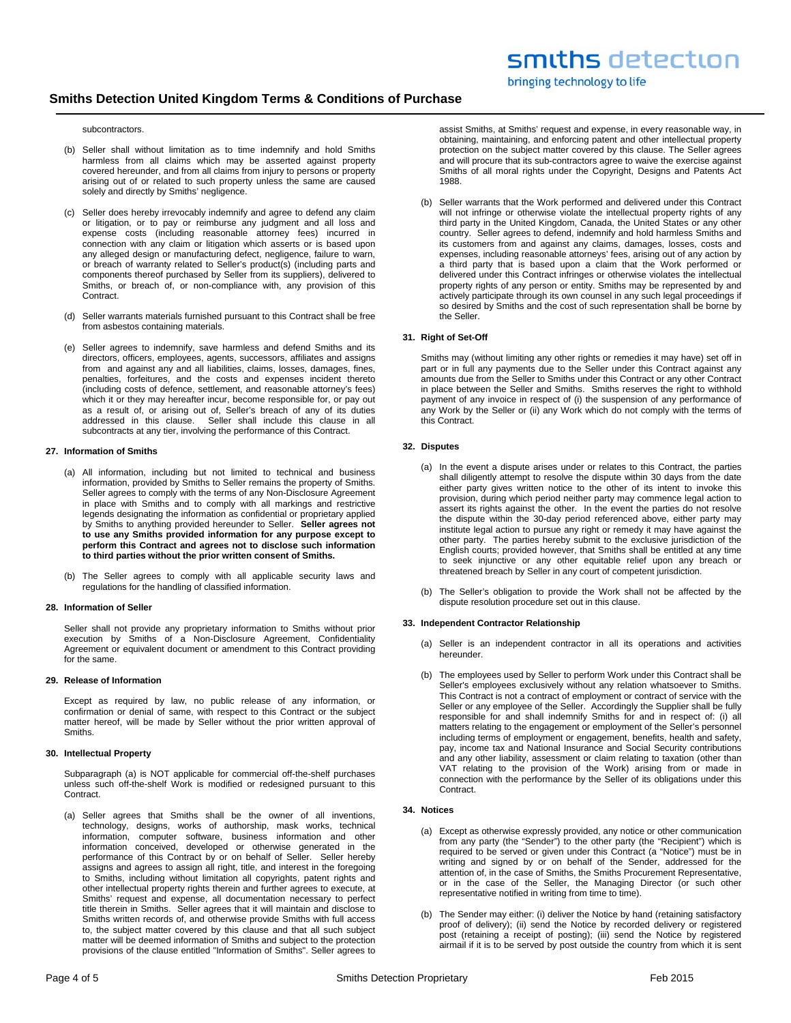# subcontractors.

- (b) Seller shall without limitation as to time indemnify and hold Smiths harmless from all claims which may be asserted against property covered hereunder, and from all claims from injury to persons or property arising out of or related to such property unless the same are caused solely and directly by Smiths' negligence.
- (c) Seller does hereby irrevocably indemnify and agree to defend any claim or litigation, or to pay or reimburse any judgment and all loss and expense costs (including reasonable attorney fees) incurred in connection with any claim or litigation which asserts or is based upon any alleged design or manufacturing defect, negligence, failure to warn, or breach of warranty related to Seller's product(s) (including parts and components thereof purchased by Seller from its suppliers), delivered to Smiths, or breach of, or non-compliance with, any provision of this Contract.
- (d) Seller warrants materials furnished pursuant to this Contract shall be free from asbestos containing materials.
- (e) Seller agrees to indemnify, save harmless and defend Smiths and its directors, officers, employees, agents, successors, affiliates and assigns from and against any and all liabilities, claims, losses, damages, fines, penalties, forfeitures, and the costs and expenses incident thereto (including costs of defence, settlement, and reasonable attorney's fees) which it or they may hereafter incur, become responsible for, or pay out as a result of, or arising out of, Seller's breach of any of its duties addressed in this clause. Seller shall include this clause in all subcontracts at any tier, involving the performance of this Contract.

## **27. Information of Smiths**

- (a) All information, including but not limited to technical and business information, provided by Smiths to Seller remains the property of Smiths. Seller agrees to comply with the terms of any Non-Disclosure Agreement in place with Smiths and to comply with all markings and restrictive legends designating the information as confidential or proprietary applied by Smiths to anything provided hereunder to Seller. **Seller agrees not to use any Smiths provided information for any purpose except to perform this Contract and agrees not to disclose such information to third parties without the prior written consent of Smiths.**
- (b) The Seller agrees to comply with all applicable security laws and regulations for the handling of classified information.

# **28. Information of Seller**

Seller shall not provide any proprietary information to Smiths without prior execution by Smiths of a Non-Disclosure Agreement, Confidentiality Agreement or equivalent document or amendment to this Contract providing for the same.

# **29. Release of Information**

Except as required by law, no public release of any information, or confirmation or denial of same, with respect to this Contract or the subject matter hereof, will be made by Seller without the prior written approval of Smiths.

# **30. Intellectual Property**

Subparagraph (a) is NOT applicable for commercial off-the-shelf purchases unless such off-the-shelf Work is modified or redesigned pursuant to this Contract.

(a) Seller agrees that Smiths shall be the owner of all inventions, technology, designs, works of authorship, mask works, technical information, computer software, business information and other information conceived, developed or otherwise generated in the performance of this Contract by or on behalf of Seller. Seller hereby assigns and agrees to assign all right, title, and interest in the foregoing to Smiths, including without limitation all copyrights, patent rights and other intellectual property rights therein and further agrees to execute, at Smiths' request and expense, all documentation necessary to perfect title therein in Smiths. Seller agrees that it will maintain and disclose to Smiths written records of, and otherwise provide Smiths with full access to, the subject matter covered by this clause and that all such subject matter will be deemed information of Smiths and subject to the protection provisions of the clause entitled "Information of Smiths". Seller agrees to

assist Smiths, at Smiths' request and expense, in every reasonable way, in obtaining, maintaining, and enforcing patent and other intellectual property protection on the subject matter covered by this clause. The Seller agrees and will procure that its sub-contractors agree to waive the exercise against Smiths of all moral rights under the Copyright, Designs and Patents Act 1988.

(b) Seller warrants that the Work performed and delivered under this Contract will not infringe or otherwise violate the intellectual property rights of any third party in the United Kingdom, Canada, the United States or any other country. Seller agrees to defend, indemnify and hold harmless Smiths and its customers from and against any claims, damages, losses, costs and expenses, including reasonable attorneys' fees, arising out of any action by a third party that is based upon a claim that the Work performed or delivered under this Contract infringes or otherwise violates the intellectual property rights of any person or entity. Smiths may be represented by and actively participate through its own counsel in any such legal proceedings if so desired by Smiths and the cost of such representation shall be borne by the Seller.

## **31. Right of Set-Off**

Smiths may (without limiting any other rights or remedies it may have) set off in part or in full any payments due to the Seller under this Contract against any amounts due from the Seller to Smiths under this Contract or any other Contract in place between the Seller and Smiths. Smiths reserves the right to withhold payment of any invoice in respect of (i) the suspension of any performance of any Work by the Seller or (ii) any Work which do not comply with the terms of this Contract.

# **32. Disputes**

- (a) In the event a dispute arises under or relates to this Contract, the parties shall diligently attempt to resolve the dispute within 30 days from the date either party gives written notice to the other of its intent to invoke this provision, during which period neither party may commence legal action to assert its rights against the other. In the event the parties do not resolve the dispute within the 30-day period referenced above, either party may institute legal action to pursue any right or remedy it may have against the other party. The parties hereby submit to the exclusive jurisdiction of the English courts; provided however, that Smiths shall be entitled at any time to seek injunctive or any other equitable relief upon any breach or threatened breach by Seller in any court of competent jurisdiction.
- (b) The Seller's obligation to provide the Work shall not be affected by the dispute resolution procedure set out in this clause.

# **33. Independent Contractor Relationship**

- (a) Seller is an independent contractor in all its operations and activities hereunder.
- (b) The employees used by Seller to perform Work under this Contract shall be Seller's employees exclusively without any relation whatsoever to Smiths. This Contract is not a contract of employment or contract of service with the Seller or any employee of the Seller. Accordingly the Supplier shall be fully responsible for and shall indemnify Smiths for and in respect of: (i) all matters relating to the engagement or employment of the Seller's personnel including terms of employment or engagement, benefits, health and safety, pay, income tax and National Insurance and Social Security contributions and any other liability, assessment or claim relating to taxation (other than VAT relating to the provision of the Work) arising from or made in connection with the performance by the Seller of its obligations under this **Contract**

# **34. Notices**

- (a) Except as otherwise expressly provided, any notice or other communication from any party (the "Sender") to the other party (the "Recipient") which is required to be served or given under this Contract (a "Notice") must be in writing and signed by or on behalf of the Sender, addressed for the attention of, in the case of Smiths, the Smiths Procurement Representative, or in the case of the Seller, the Managing Director (or such other representative notified in writing from time to time).
- (b) The Sender may either: (i) deliver the Notice by hand (retaining satisfactory proof of delivery); (ii) send the Notice by recorded delivery or registered post (retaining a receipt of posting); (iii) send the Notice by registered airmail if it is to be served by post outside the country from which it is sent